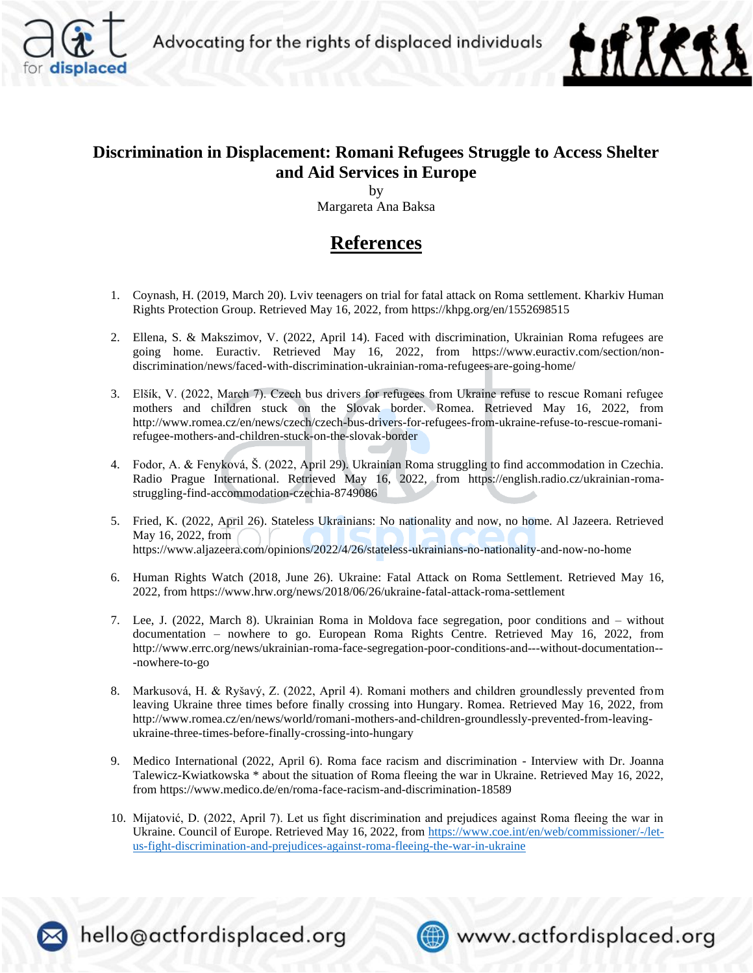



## **Discrimination in Displacement: Romani Refugees Struggle to Access Shelter and Aid Services in Europe**

by Margareta Ana Baksa

## **References**

- 1. Coynash, H. (2019, March 20). Lviv teenagers on trial for fatal attack on Roma settlement. Kharkiv Human Rights Protection Group. Retrieved May 16, 2022, from https://khpg.org/en/1552698515
- 2. Ellena, S. & Makszimov, V. (2022, April 14). Faced with discrimination, Ukrainian Roma refugees are going home. Euractiv. Retrieved May 16, 2022, from https://www.euractiv.com/section/nondiscrimination/news/faced-with-discrimination-ukrainian-roma-refugees-are-going-home/
- 3. Elšík, V. (2022, March 7). Czech bus drivers for refugees from Ukraine refuse to rescue Romani refugee mothers and children stuck on the Slovak border. Romea. Retrieved May 16, 2022, from http://www.romea.cz/en/news/czech/czech-bus-drivers-for-refugees-from-ukraine-refuse-to-rescue-romanirefugee-mothers-and-children-stuck-on-the-slovak-border
- 4. Fodor, A. & Fenyková, Š. (2022, April 29). Ukrainian Roma struggling to find accommodation in Czechia. Radio Prague International. Retrieved May 16, 2022, from https://english.radio.cz/ukrainian-romastruggling-find-accommodation-czechia-8749086
- 5. Fried, K. (2022, April 26). Stateless Ukrainians: No nationality and now, no home. Al Jazeera. Retrieved May 16, 2022, from https://www.aljazeera.com/opinions/2022/4/26/stateless-ukrainians-no-nationality-and-now-no-home
- 6. Human Rights Watch (2018, June 26). Ukraine: Fatal Attack on Roma Settlement. Retrieved May 16, 2022, from https://www.hrw.org/news/2018/06/26/ukraine-fatal-attack-roma-settlement
- 7. Lee, J. (2022, March 8). Ukrainian Roma in Moldova face segregation, poor conditions and without documentation – nowhere to go. European Roma Rights Centre. Retrieved May 16, 2022, from http://www.errc.org/news/ukrainian-roma-face-segregation-poor-conditions-and---without-documentation-- -nowhere-to-go
- 8. Markusová, H. & Ryšavý, Z. (2022, April 4). Romani mothers and children groundlessly prevented from leaving Ukraine three times before finally crossing into Hungary. Romea. Retrieved May 16, 2022, from http://www.romea.cz/en/news/world/romani-mothers-and-children-groundlessly-prevented-from-leavingukraine-three-times-before-finally-crossing-into-hungary
- 9. Medico International (2022, April 6). Roma face racism and discrimination Interview with Dr. Joanna Talewicz-Kwiatkowska \* about the situation of Roma fleeing the war in Ukraine. Retrieved May 16, 2022, from https://www.medico.de/en/roma-face-racism-and-discrimination-18589
- 10. Mijatović, D. (2022, April 7). Let us fight discrimination and prejudices against Roma fleeing the war in Ukraine. Council of Europe. Retrieved May 16, 2022, from [https://www.coe.int/en/web/commissioner/-/let](https://www.coe.int/en/web/commissioner/-/let-us-fight-discrimination-and-prejudices-against-roma-fleeing-the-war-in-ukraine)[us-fight-discrimination-and-prejudices-against-roma-fleeing-the-war-in-ukraine](https://www.coe.int/en/web/commissioner/-/let-us-fight-discrimination-and-prejudices-against-roma-fleeing-the-war-in-ukraine)



hello@actfordisplaced.org



www.actfordisplaced.org